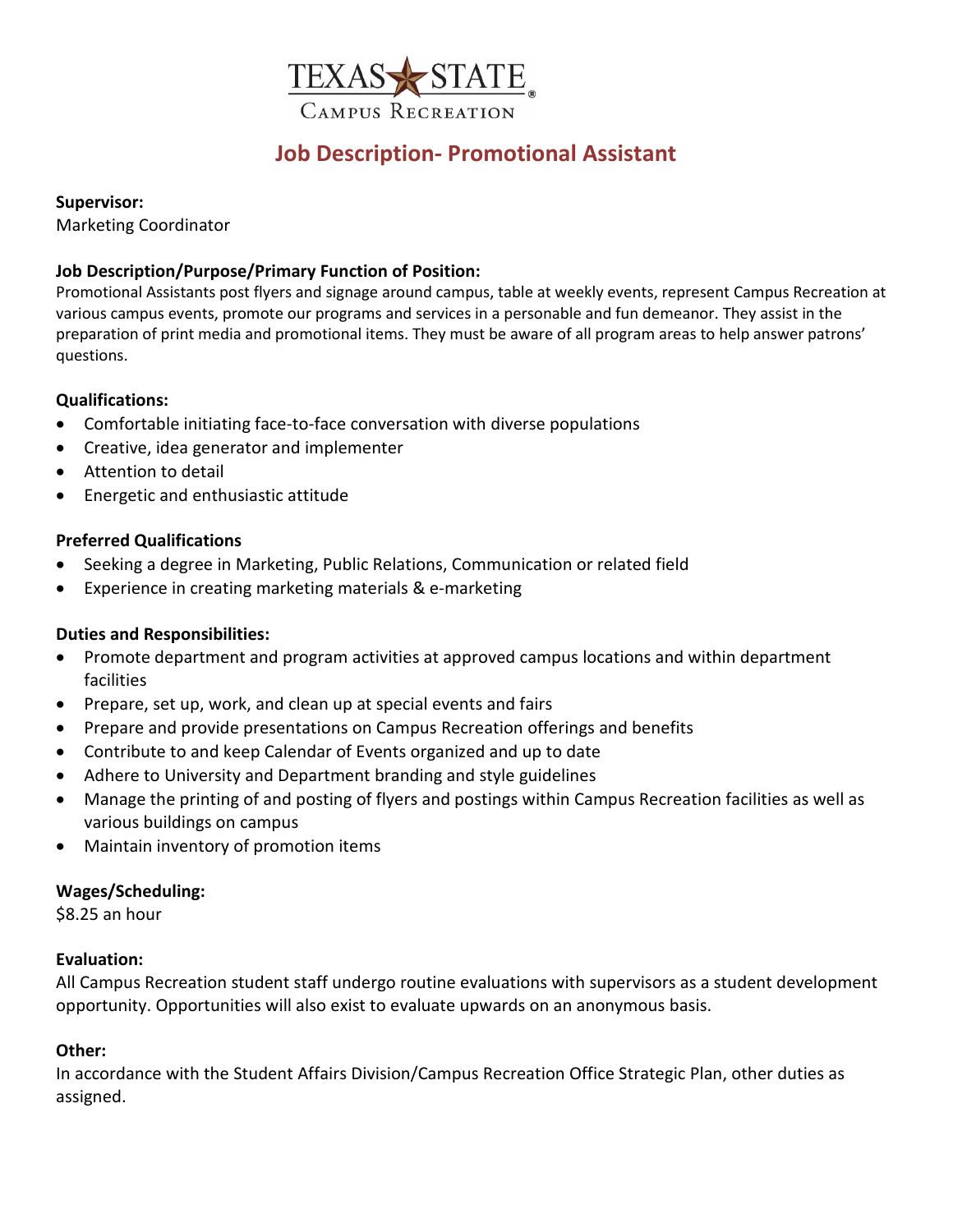

# **Job Description- Promotional Assistant**

## **Supervisor:**

Marketing Coordinator

# **Job Description/Purpose/Primary Function of Position:**

Promotional Assistants post flyers and signage around campus, table at weekly events, represent Campus Recreation at various campus events, promote our programs and services in a personable and fun demeanor. They assist in the preparation of print media and promotional items. They must be aware of all program areas to help answer patrons' questions.

# **Qualifications:**

- Comfortable initiating face-to-face conversation with diverse populations
- Creative, idea generator and implementer
- Attention to detail
- Energetic and enthusiastic attitude

## **Preferred Qualifications**

- Seeking a degree in Marketing, Public Relations, Communication or related field
- Experience in creating marketing materials & e-marketing

# **Duties and Responsibilities:**

- Promote department and program activities at approved campus locations and within department facilities
- Prepare, set up, work, and clean up at special events and fairs
- Prepare and provide presentations on Campus Recreation offerings and benefits
- Contribute to and keep Calendar of Events organized and up to date
- Adhere to University and Department branding and style guidelines
- Manage the printing of and posting of flyers and postings within Campus Recreation facilities as well as various buildings on campus
- Maintain inventory of promotion items

### **Wages/Scheduling:**

\$8.25 an hour

### **Evaluation:**

All Campus Recreation student staff undergo routine evaluations with supervisors as a student development opportunity. Opportunities will also exist to evaluate upwards on an anonymous basis.

### **Other:**

In accordance with the Student Affairs Division/Campus Recreation Office Strategic Plan, other duties as assigned.